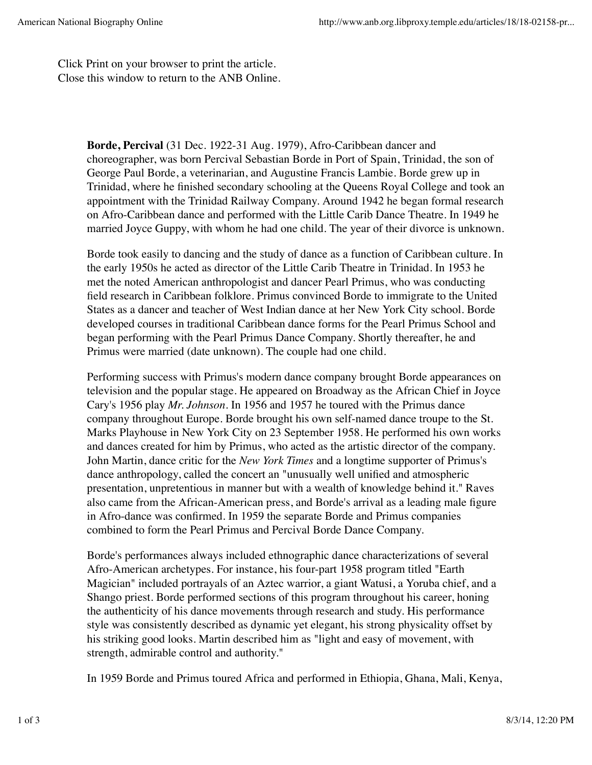Click Print on your browser to print the article. Close this window to return to the ANB Online.

> **Borde, Percival** (31 Dec. 1922-31 Aug. 1979), Afro-Caribbean dancer and choreographer, was born Percival Sebastian Borde in Port of Spain, Trinidad, the son of George Paul Borde, a veterinarian, and Augustine Francis Lambie. Borde grew up in Trinidad, where he finished secondary schooling at the Queens Royal College and took an appointment with the Trinidad Railway Company. Around 1942 he began formal research on Afro-Caribbean dance and performed with the Little Carib Dance Theatre. In 1949 he married Joyce Guppy, with whom he had one child. The year of their divorce is unknown.

> Borde took easily to dancing and the study of dance as a function of Caribbean culture. In the early 1950s he acted as director of the Little Carib Theatre in Trinidad. In 1953 he met the noted American anthropologist and dancer Pearl Primus, who was conducting field research in Caribbean folklore. Primus convinced Borde to immigrate to the United States as a dancer and teacher of West Indian dance at her New York City school. Borde developed courses in traditional Caribbean dance forms for the Pearl Primus School and began performing with the Pearl Primus Dance Company. Shortly thereafter, he and Primus were married (date unknown). The couple had one child.

> Performing success with Primus's modern dance company brought Borde appearances on television and the popular stage. He appeared on Broadway as the African Chief in Joyce Cary's 1956 play *Mr. Johnson*. In 1956 and 1957 he toured with the Primus dance company throughout Europe. Borde brought his own self-named dance troupe to the St. Marks Playhouse in New York City on 23 September 1958. He performed his own works and dances created for him by Primus, who acted as the artistic director of the company. John Martin, dance critic for the *New York Times* and a longtime supporter of Primus's dance anthropology, called the concert an "unusually well unified and atmospheric presentation, unpretentious in manner but with a wealth of knowledge behind it." Raves also came from the African-American press, and Borde's arrival as a leading male figure in Afro-dance was confirmed. In 1959 the separate Borde and Primus companies combined to form the Pearl Primus and Percival Borde Dance Company.

Borde's performances always included ethnographic dance characterizations of several Afro-American archetypes. For instance, his four-part 1958 program titled "Earth Magician" included portrayals of an Aztec warrior, a giant Watusi, a Yoruba chief, and a Shango priest. Borde performed sections of this program throughout his career, honing the authenticity of his dance movements through research and study. His performance style was consistently described as dynamic yet elegant, his strong physicality offset by his striking good looks. Martin described him as "light and easy of movement, with strength, admirable control and authority."

In 1959 Borde and Primus toured Africa and performed in Ethiopia, Ghana, Mali, Kenya,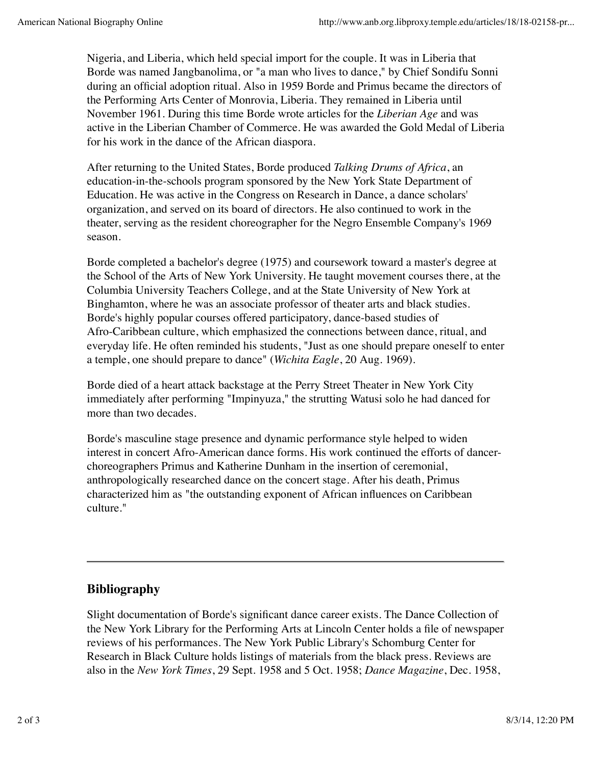Nigeria, and Liberia, which held special import for the couple. It was in Liberia that Borde was named Jangbanolima, or "a man who lives to dance," by Chief Sondifu Sonni during an official adoption ritual. Also in 1959 Borde and Primus became the directors of the Performing Arts Center of Monrovia, Liberia. They remained in Liberia until November 1961. During this time Borde wrote articles for the *Liberian Age* and was active in the Liberian Chamber of Commerce. He was awarded the Gold Medal of Liberia for his work in the dance of the African diaspora.

After returning to the United States, Borde produced *Talking Drums of Africa*, an education-in-the-schools program sponsored by the New York State Department of Education. He was active in the Congress on Research in Dance, a dance scholars' organization, and served on its board of directors. He also continued to work in the theater, serving as the resident choreographer for the Negro Ensemble Company's 1969 season.

Borde completed a bachelor's degree (1975) and coursework toward a master's degree at the School of the Arts of New York University. He taught movement courses there, at the Columbia University Teachers College, and at the State University of New York at Binghamton, where he was an associate professor of theater arts and black studies. Borde's highly popular courses offered participatory, dance-based studies of Afro-Caribbean culture, which emphasized the connections between dance, ritual, and everyday life. He often reminded his students, "Just as one should prepare oneself to enter a temple, one should prepare to dance" (*Wichita Eagle*, 20 Aug. 1969).

Borde died of a heart attack backstage at the Perry Street Theater in New York City immediately after performing "Impinyuza," the strutting Watusi solo he had danced for more than two decades.

Borde's masculine stage presence and dynamic performance style helped to widen interest in concert Afro-American dance forms. His work continued the efforts of dancerchoreographers Primus and Katherine Dunham in the insertion of ceremonial, anthropologically researched dance on the concert stage. After his death, Primus characterized him as "the outstanding exponent of African influences on Caribbean culture."

## **Bibliography**

Slight documentation of Borde's significant dance career exists. The Dance Collection of the New York Library for the Performing Arts at Lincoln Center holds a file of newspaper reviews of his performances. The New York Public Library's Schomburg Center for Research in Black Culture holds listings of materials from the black press. Reviews are also in the *New York Times*, 29 Sept. 1958 and 5 Oct. 1958; *Dance Magazine*, Dec. 1958,